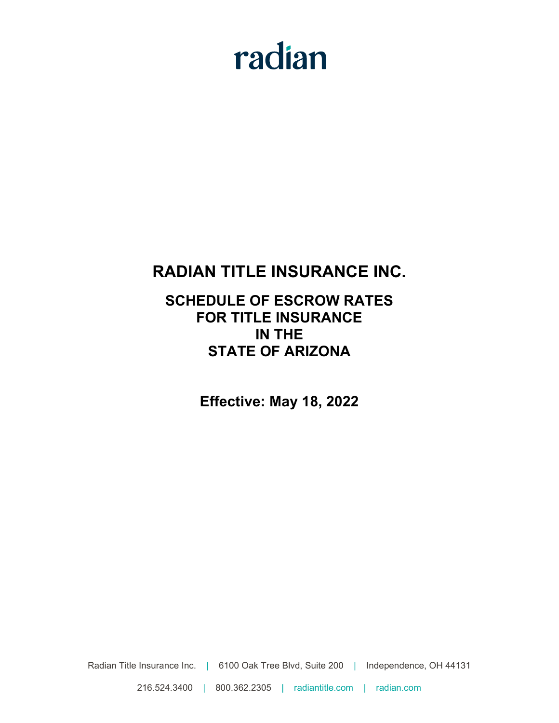# radian

# **RADIAN TITLE INSURANCE INC.**

# **SCHEDULE OF ESCROW RATES FOR TITLE INSURANCE IN THE STATE OF ARIZONA**

**Effective: May 18, 2022**

Radian Title Insurance Inc. | 6100 Oak Tree Blvd, Suite 200 | Independence, OH 44131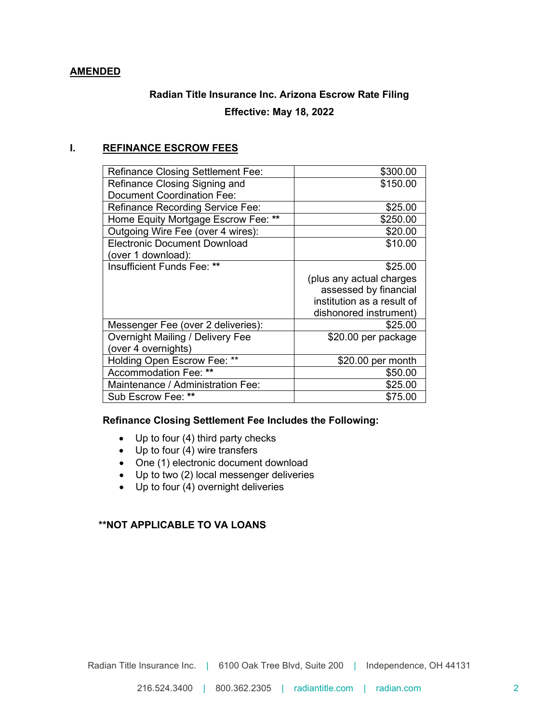## **AMENDED**

# **Radian Title Insurance Inc. Arizona Escrow Rate Filing Effective: May 18, 2022**

# **I. REFINANCE ESCROW FEES**

| <b>Refinance Closing Settlement Fee:</b> | \$300.00                   |
|------------------------------------------|----------------------------|
| Refinance Closing Signing and            | \$150.00                   |
| <b>Document Coordination Fee:</b>        |                            |
| <b>Refinance Recording Service Fee:</b>  | \$25.00                    |
| Home Equity Mortgage Escrow Fee: **      | \$250.00                   |
| Outgoing Wire Fee (over 4 wires):        | \$20.00                    |
| <b>Electronic Document Download</b>      | \$10.00                    |
| (over 1 download):                       |                            |
| Insufficient Funds Fee: **               | \$25.00                    |
|                                          | (plus any actual charges   |
|                                          | assessed by financial      |
|                                          | institution as a result of |
|                                          | dishonored instrument)     |
| Messenger Fee (over 2 deliveries):       | \$25.00                    |
| <b>Overnight Mailing / Delivery Fee</b>  | \$20.00 per package        |
| (over 4 overnights)                      |                            |
| Holding Open Escrow Fee: **              | \$20.00 per month          |
| Accommodation Fee: **                    | \$50.00                    |
| Maintenance / Administration Fee:        | \$25.00                    |
| Sub Escrow Fee: **                       | \$75.00                    |
|                                          |                            |

### **Refinance Closing Settlement Fee Includes the Following:**

- Up to four (4) third party checks
- Up to four (4) wire transfers
- One (1) electronic document download
- Up to two (2) local messenger deliveries
- $\bullet$  Up to four (4) overnight deliveries

# **\*\*NOT APPLICABLE TO VA LOANS**

Radian Title Insurance Inc. | 6100 Oak Tree Blvd, Suite 200 | Independence, OH 44131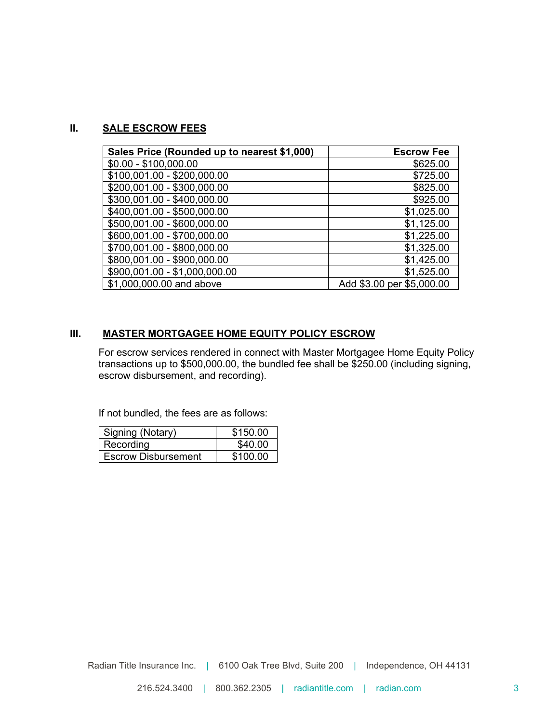# **II. SALE ESCROW FEES**

| Sales Price (Rounded up to nearest \$1,000) | <b>Escrow Fee</b>         |
|---------------------------------------------|---------------------------|
| $$0.00 - $100,000.00$                       | \$625.00                  |
| \$100,001.00 - \$200,000.00                 | \$725.00                  |
| \$200,001.00 - \$300,000.00                 | \$825.00                  |
| \$300,001.00 - \$400,000.00                 | \$925.00                  |
| \$400,001.00 - \$500,000.00                 | \$1,025.00                |
| \$500,001.00 - \$600,000.00                 | \$1,125.00                |
| \$600,001.00 - \$700,000.00                 | \$1,225.00                |
| \$700,001.00 - \$800,000.00                 | \$1,325.00                |
| \$800,001.00 - \$900,000.00                 | \$1,425.00                |
| \$900,001.00 - \$1,000,000.00               | \$1,525.00                |
| \$1,000,000.00 and above                    | Add \$3.00 per \$5,000.00 |

# **III. MASTER MORTGAGEE HOME EQUITY POLICY ESCROW**

For escrow services rendered in connect with Master Mortgagee Home Equity Policy transactions up to \$500,000.00, the bundled fee shall be \$250.00 (including signing, escrow disbursement, and recording).

If not bundled, the fees are as follows:

| Signing (Notary)           | \$150.00 |
|----------------------------|----------|
| Recording                  | \$40.00  |
| <b>Escrow Disbursement</b> | \$100.00 |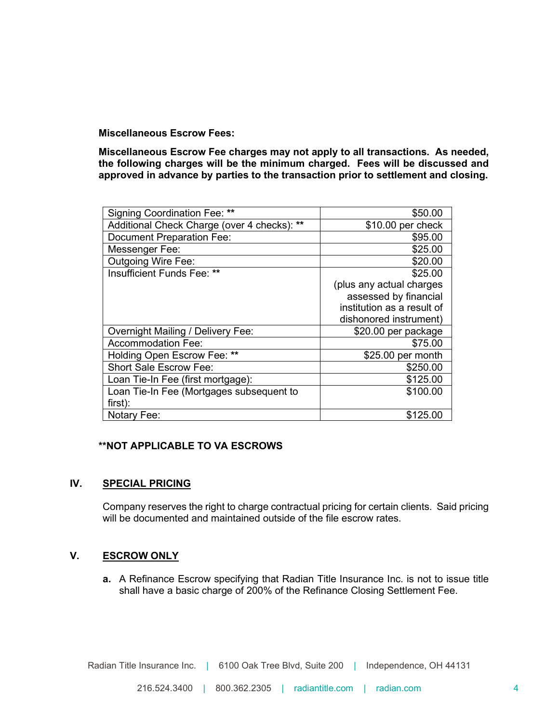**Miscellaneous Escrow Fees:**

**Miscellaneous Escrow Fee charges may not apply to all transactions. As needed, the following charges will be the minimum charged. Fees will be discussed and approved in advance by parties to the transaction prior to settlement and closing.**

| Signing Coordination Fee: **                | \$50.00                    |
|---------------------------------------------|----------------------------|
| Additional Check Charge (over 4 checks): ** | \$10.00 per check          |
| <b>Document Preparation Fee:</b>            | \$95.00                    |
| Messenger Fee:                              | \$25.00                    |
| <b>Outgoing Wire Fee:</b>                   | \$20.00                    |
| Insufficient Funds Fee: **                  | \$25.00                    |
|                                             | (plus any actual charges   |
|                                             | assessed by financial      |
|                                             | institution as a result of |
|                                             | dishonored instrument)     |
| <b>Overnight Mailing / Delivery Fee:</b>    | \$20.00 per package        |
| <b>Accommodation Fee:</b>                   | \$75.00                    |
| Holding Open Escrow Fee: **                 | \$25.00 per month          |
| <b>Short Sale Escrow Fee:</b>               | \$250.00                   |
| Loan Tie-In Fee (first mortgage):           | \$125.00                   |
| Loan Tie-In Fee (Mortgages subsequent to    | \$100.00                   |
| first):                                     |                            |
| Notary Fee:                                 | \$125.00                   |

## **\*\*NOT APPLICABLE TO VA ESCROWS**

# **IV. SPECIAL PRICING**

Company reserves the right to charge contractual pricing for certain clients. Said pricing will be documented and maintained outside of the file escrow rates.

# **V. ESCROW ONLY**

**a.** A Refinance Escrow specifying that Radian Title Insurance Inc. is not to issue title shall have a basic charge of 200% of the Refinance Closing Settlement Fee.

Radian Title Insurance Inc. | 6100 Oak Tree Blvd, Suite 200 | Independence, OH 44131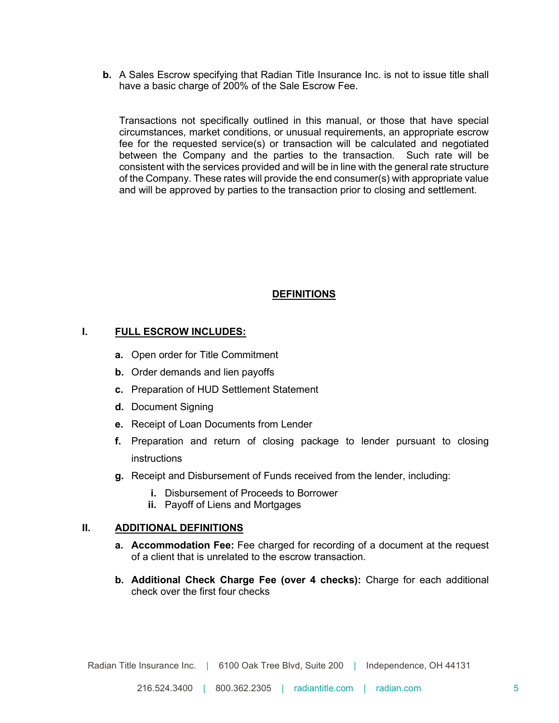**b.** A Sales Escrow specifying that Radian Title Insurance Inc. is not to issue title shall have a basic charge of 200% of the Sale Escrow Fee.

Transactions not specifically outlined in this manual, or those that have special circumstances, market conditions, or unusual requirements, an appropriate escrow fee for the requested service(s) or transaction will be calculated and negotiated between the Company and the parties to the transaction. Such rate will be consistent with the services provided and will be in line with the general rate structure of the Company. These rates will provide the end consumer(s) with appropriate value and will be approved by parties to the transaction prior to closing and settlement.

#### **DEFINITIONS**

### **I. FULL ESCROW INCLUDES:**

- **a.** Open order for Title Commitment
- **b.** Order demands and lien payoffs
- **c.** Preparation of HUD Settlement Statement
- **d.** Document Signing
- **e.** Receipt of Loan Documents from Lender
- **f.** Preparation and return of closing package to lender pursuant to closing instructions
- **g.** Receipt and Disbursement of Funds received from the lender, including:
	- **i.** Disbursement of Proceeds to Borrower
	- **ii.** Payoff of Liens and Mortgages

#### **II. ADDITIONAL DEFINITIONS**

- **a. Accommodation Fee:** Fee charged for recording of a document at the request of a client that is unrelated to the escrow transaction.
- **b. Additional Check Charge Fee (over 4 checks):** Charge for each additional check over the first four checks